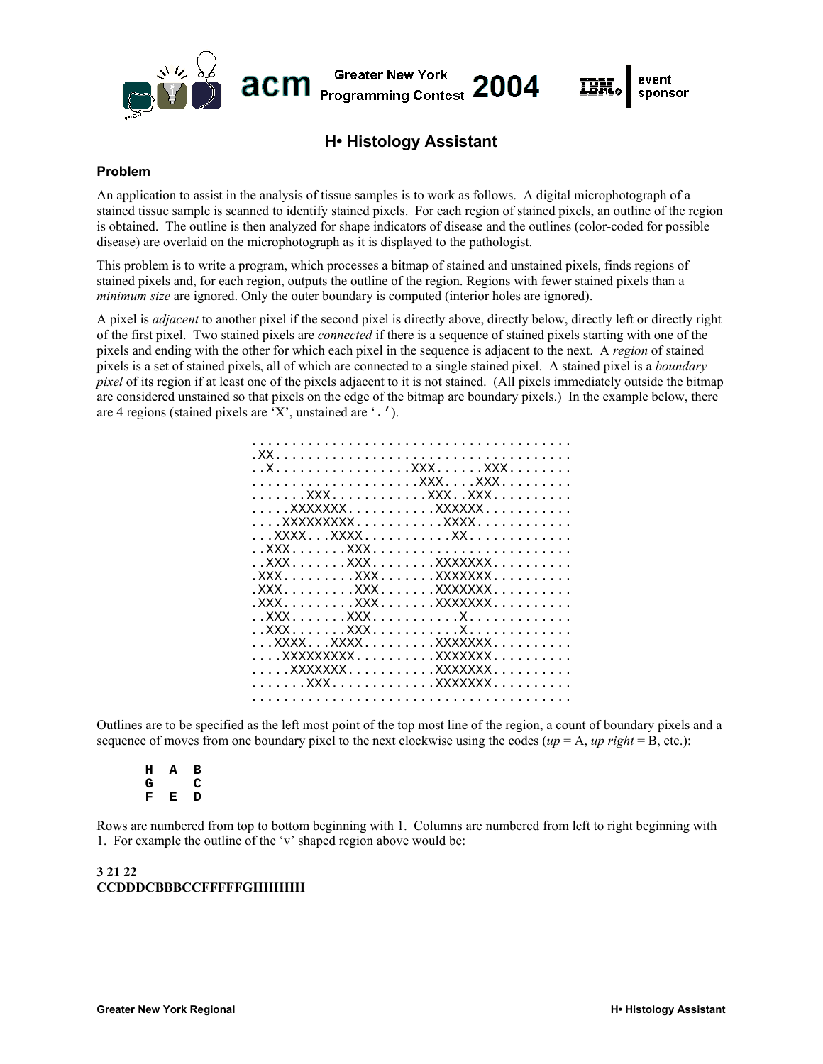# **H• Histology Assistant**

Greater New York<br>Programming Contest 2004

**Greater New York** 

acm

# **Problem**

An application to assist in the analysis of tissue samples is to work as follows. A digital microphotograph of a stained tissue sample is scanned to identify stained pixels. For each region of stained pixels, an outline of the region is obtained. The outline is then analyzed for shape indicators of disease and the outlines (color-coded for possible disease) are overlaid on the microphotograph as it is displayed to the pathologist.

This problem is to write a program, which processes a bitmap of stained and unstained pixels, finds regions of stained pixels and, for each region, outputs the outline of the region. Regions with fewer stained pixels than a *minimum size* are ignored. Only the outer boundary is computed (interior holes are ignored).

A pixel is *adjacent* to another pixel if the second pixel is directly above, directly below, directly left or directly right of the first pixel. Two stained pixels are *connected* if there is a sequence of stained pixels starting with one of the pixels and ending with the other for which each pixel in the sequence is adjacent to the next. A *region* of stained pixels is a set of stained pixels, all of which are connected to a single stained pixel. A stained pixel is a *boundary pixel* of its region if at least one of the pixels adjacent to it is not stained. (All pixels immediately outside the bitmap are considered unstained so that pixels on the edge of the bitmap are boundary pixels.) In the example below, there are 4 regions (stained pixels are 'X', unstained are '.').

Outlines are to be specified as the left most point of the top most line of the region, a count of boundary pixels and a sequence of moves from one boundary pixel to the next clockwise using the codes  $(\mu p = A, \mu p \text{ right} = B, \text{ etc.})$ :

**H A B G C F E D** 

Rows are numbered from top to bottom beginning with 1. Columns are numbered from left to right beginning with 1. For example the outline of the 'v' shaped region above would be:

#### **3 21 22 CCDDDCBBBCCFFFFFGHHHHH**

event

sponsor